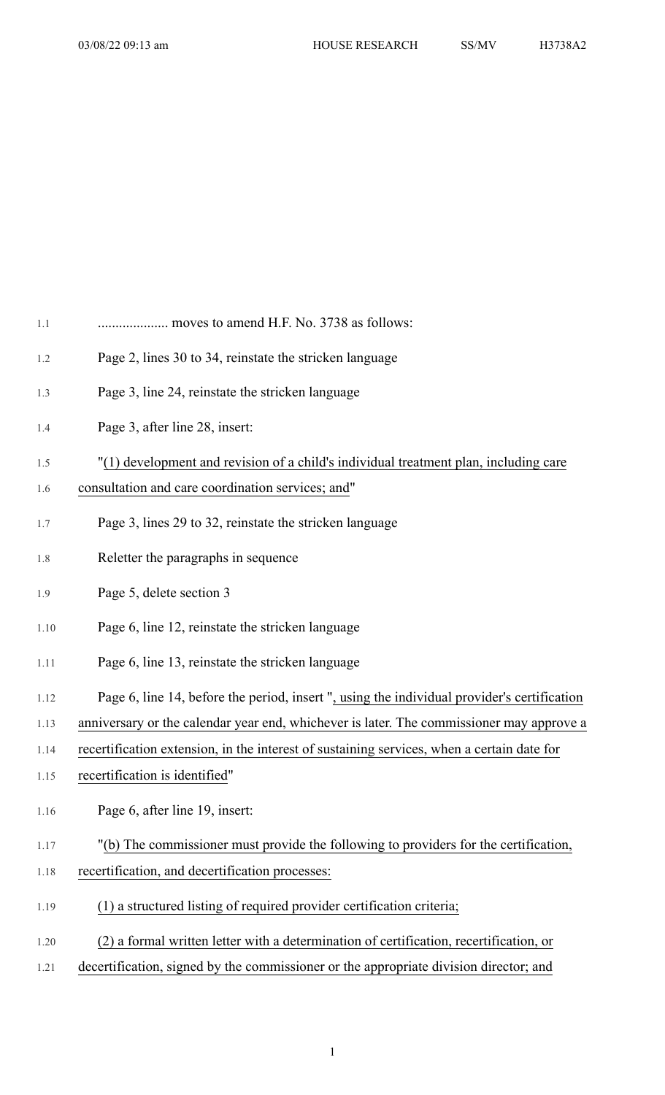| $1.1\,$ | moves to amend H.F. No. 3738 as follows:                                                    |
|---------|---------------------------------------------------------------------------------------------|
| 1.2     | Page 2, lines 30 to 34, reinstate the stricken language                                     |
| 1.3     | Page 3, line 24, reinstate the stricken language                                            |
| 1.4     | Page 3, after line 28, insert:                                                              |
| 1.5     | "(1) development and revision of a child's individual treatment plan, including care        |
| 1.6     | consultation and care coordination services; and"                                           |
| 1.7     | Page 3, lines 29 to 32, reinstate the stricken language                                     |
| 1.8     | Reletter the paragraphs in sequence                                                         |
| 1.9     | Page 5, delete section 3                                                                    |
| 1.10    | Page 6, line 12, reinstate the stricken language                                            |
| 1.11    | Page 6, line 13, reinstate the stricken language                                            |
| 1.12    | Page 6, line 14, before the period, insert ", using the individual provider's certification |
| 1.13    | anniversary or the calendar year end, whichever is later. The commissioner may approve a    |
| 1.14    | recertification extension, in the interest of sustaining services, when a certain date for  |
| 1.15    | recertification is identified"                                                              |
| 1.16    | Page 6, after line 19, insert:                                                              |
| 1.17    | "(b) The commissioner must provide the following to providers for the certification,        |
| 1.18    | recertification, and decertification processes:                                             |
| 1.19    | ) a structured listing of required provider certification criteria;                         |
| 1.20    | (2) a formal written letter with a determination of certification, recertification, or      |
| 1.21    | decertification, signed by the commissioner or the appropriate division director; and       |